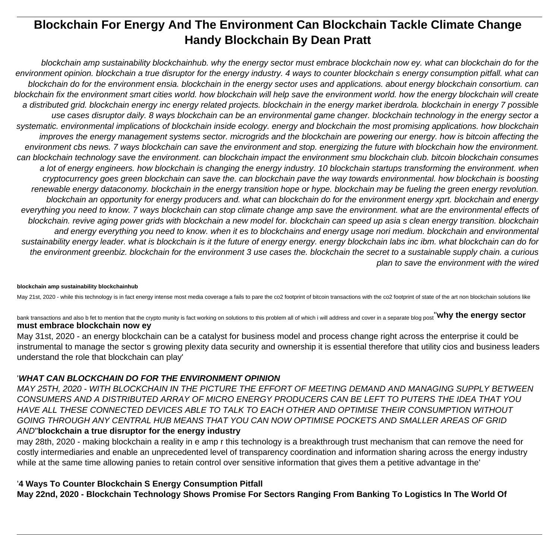# **Blockchain For Energy And The Environment Can Blockchain Tackle Climate Change Handy Blockchain By Dean Pratt**

blockchain amp sustainability blockchainhub. why the energy sector must embrace blockchain now ey. what can blockchain do for the environment opinion. blockchain a true disruptor for the energy industry. 4 ways to counter blockchain s energy consumption pitfall. what can blockchain do for the environment ensia. blockchain in the energy sector uses and applications. about energy blockchain consortium. can blockchain fix the environment smart cities world. how blockchain will help save the environment world. how the energy blockchain will create a distributed grid. blockchain energy inc energy related projects. blockchain in the energy market iberdrola. blockchain in energy 7 possible use cases disruptor daily. 8 ways blockchain can be an environmental game changer. blockchain technology in the energy sector a systematic. environmental implications of blockchain inside ecology. energy and blockchain the most promising applications. how blockchain improves the energy management systems sector. microgrids and the blockchain are powering our energy. how is bitcoin affecting the environment cbs news. 7 ways blockchain can save the environment and stop. energizing the future with blockchain how the environment. can blockchain technology save the environment. can blockchain impact the environment smu blockchain club. bitcoin blockchain consumes a lot of energy engineers. how blockchain is changing the energy industry. 10 blockchain startups transforming the environment. when cryptocurrency goes green blockchain can save the. can blockchain pave the way towards environmental. how blockchain is boosting renewable energy dataconomy. blockchain in the energy transition hope or hype. blockchain may be fueling the green energy revolution. blockchain an opportunity for energy producers and. what can blockchain do for the environment energy xprt. blockchain and energy everything you need to know. 7 ways blockchain can stop climate change amp save the environment. what are the environmental effects of blockchain. revive aging power grids with blockchain a new model for. blockchain can speed up asia s clean energy transition. blockchain and energy everything you need to know. when it es to blockchains and energy usage nori medium. blockchain and environmental sustainability energy leader. what is blockchain is it the future of energy energy. energy blockchain labs inc ibm. what blockchain can do for the environment greenbiz. blockchain for the environment 3 use cases the. blockchain the secret to a sustainable supply chain. a curious plan to save the environment with the wired

# **blockchain amp sustainability blockchainhub**

May 21st, 2020 - while this technology is in fact energy intense most media coverage a fails to pare the co2 footprint of bitcoin transactions with the co2 footprint of state of the art non blockchain solutions like

bank transactions and also b fet to mention that the crypto munity is fact working on solutions to this problem all of which i will address and cover in a separate blog post''**why the energy sector must embrace blockchain now ey**

May 31st, 2020 - an energy blockchain can be a catalyst for business model and process change right across the enterprise it could be instrumental to manage the sector s growing plexity data security and ownership it is essential therefore that utility cios and business leaders understand the role that blockchain can play'

# '**WHAT CAN BLOCKCHAIN DO FOR THE ENVIRONMENT OPINION**

MAY 25TH, 2020 - WITH BLOCKCHAIN IN THE PICTURE THE EFFORT OF MEETING DEMAND AND MANAGING SUPPLY BETWEEN CONSUMERS AND A DISTRIBUTED ARRAY OF MICRO ENERGY PRODUCERS CAN BE LEFT TO PUTERS THE IDEA THAT YOU HAVE ALL THESE CONNECTED DEVICES ABLE TO TALK TO EACH OTHER AND OPTIMISE THEIR CONSUMPTION WITHOUT GOING THROUGH ANY CENTRAL HUB MEANS THAT YOU CAN NOW OPTIMISE POCKETS AND SMALLER AREAS OF GRID AND''**blockchain a true disruptor for the energy industry**

may 28th, 2020 - making blockchain a reality in e amp r this technology is a breakthrough trust mechanism that can remove the need for costly intermediaries and enable an unprecedented level of transparency coordination and information sharing across the energy industry while at the same time allowing panies to retain control over sensitive information that gives them a petitive advantage in the'

# '**4 Ways To Counter Blockchain S Energy Consumption Pitfall**

**May 22nd, 2020 - Blockchain Technology Shows Promise For Sectors Ranging From Banking To Logistics In The World Of**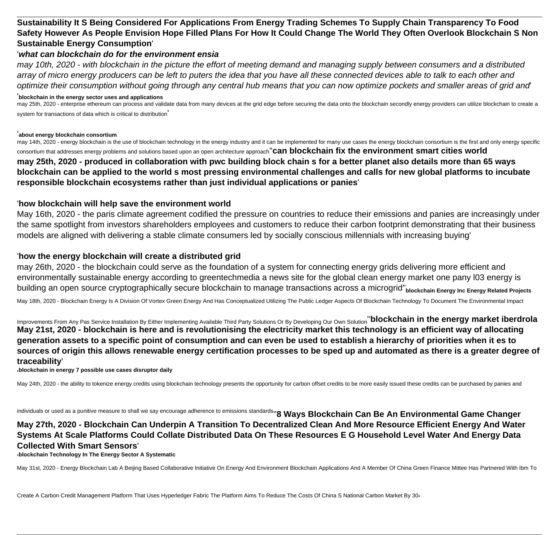# **Sustainability It S Being Considered For Applications From Energy Trading Schemes To Supply Chain Transparency To Food Safety However As People Envision Hope Filled Plans For How It Could Change The World They Often Overlook Blockchain S Non Sustainable Energy Consumption**'

# '**what can blockchain do for the environment ensia**

may 10th, 2020 - with blockchain in the picture the effort of meeting demand and managing supply between consumers and a distributed array of micro energy producers can be left to puters the idea that you have all these connected devices able to talk to each other and optimize their consumption without going through any central hub means that you can now optimize pockets and smaller areas of grid and'

### '**blockchain in the energy sector uses and applications**

may 25th, 2020 - enterprise ethereum can process and validate data from many devices at the grid edge before securing the data onto the blockchain secondly energy providers can utilize blockchain to create a system for transactions of data which is critical to distribution'

## '**about energy blockchain consortium**

may 14th, 2020 - energy blockchain is the use of blockchain technology in the energy industry and it can be implemented for many use cases the energy blockchain consortium is the first and only energy specific consortium that addresses energy problems and solutions based upon an open architecture approach''**can blockchain fix the environment smart cities world may 25th, 2020 - produced in collaboration with pwc building block chain s for a better planet also details more than 65 ways blockchain can be applied to the world s most pressing environmental challenges and calls for new global platforms to incubate responsible blockchain ecosystems rather than just individual applications or panies**'

# '**how blockchain will help save the environment world**

May 16th, 2020 - the paris climate agreement codified the pressure on countries to reduce their emissions and panies are increasingly under the same spotlight from investors shareholders employees and customers to reduce their carbon footprint demonstrating that their business models are aligned with delivering a stable climate consumers led by socially conscious millennials with increasing buying'

# '**how the energy blockchain will create a distributed grid**

may 26th, 2020 - the blockchain could serve as the foundation of a system for connecting energy grids delivering more efficient and environmentally sustainable energy according to greentechmedia a news site for the global clean energy market one pany l03 energy is building an open source cryptographically secure blockchain to manage transactions across a microgrid''**blockchain Energy Inc Energy Related Projects**

May 18th, 2020 - Blockchain Energy Is A Division Of Vortex Green Energy And Has Conceptualized Utilizing The Public Ledger Aspects Of Blockchain Technology To Document The Environmental Impact

Improvements From Any Pas Service Installation By Either Implementing Available Third Party Solutions Or By Developing Our Own Solution''**blockchain in the energy market iberdrola May 21st, 2020 - blockchain is here and is revolutionising the electricity market this technology is an efficient way of allocating generation assets to a specific point of consumption and can even be used to establish a hierarchy of priorities when it es to sources of origin this allows renewable energy certification processes to be sped up and automated as there is a greater degree of traceability**'

## '**blockchain in energy 7 possible use cases disruptor daily**

May 24th, 2020 - the ability to tokenize energy credits using blockchain technology presents the opportunity for carbon offset credits to be more easily issued these credits can be purchased by panies and

individuals or used as a punitive measure to shall we say encourage adherence to emissions standards''**8 Ways Blockchain Can Be An Environmental Game Changer May 27th, 2020 - Blockchain Can Underpin A Transition To Decentralized Clean And More Resource Efficient Energy And Water Systems At Scale Platforms Could Collate Distributed Data On These Resources E G Household Level Water And Energy Data Collected With Smart Sensors**'

'**blockchain Technology In The Energy Sector A Systematic**

May 31st, 2020 - Energy Blockchain Lab A Beijing Based Collaborative Initiative On Energy And Environment Blockchain Applications And A Member Of China Green Finance Mittee Has Partnered With Ibm To

Create A Carbon Credit Management Platform That Uses Hyperledger Fabric The Platform Aims To Reduce The Costs Of China S National Carbon Market By 30'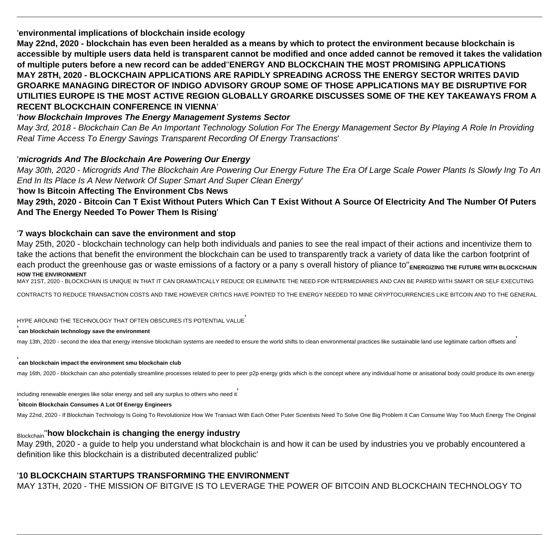'**environmental implications of blockchain inside ecology**

**May 22nd, 2020 - blockchain has even been heralded as a means by which to protect the environment because blockchain is accessible by multiple users data held is transparent cannot be modified and once added cannot be removed it takes the validation of multiple puters before a new record can be added**''**ENERGY AND BLOCKCHAIN THE MOST PROMISING APPLICATIONS MAY 28TH, 2020 - BLOCKCHAIN APPLICATIONS ARE RAPIDLY SPREADING ACROSS THE ENERGY SECTOR WRITES DAVID GROARKE MANAGING DIRECTOR OF INDIGO ADVISORY GROUP SOME OF THOSE APPLICATIONS MAY BE DISRUPTIVE FOR UTILITIES EUROPE IS THE MOST ACTIVE REGION GLOBALLY GROARKE DISCUSSES SOME OF THE KEY TAKEAWAYS FROM A RECENT BLOCKCHAIN CONFERENCE IN VIENNA**'

# '**how Blockchain Improves The Energy Management Systems Sector**

May 3rd, 2018 - Blockchain Can Be An Important Technology Solution For The Energy Management Sector By Playing A Role In Providing Real Time Access To Energy Savings Transparent Recording Of Energy Transactions'

# '**microgrids And The Blockchain Are Powering Our Energy**

May 30th, 2020 - Microgrids And The Blockchain Are Powering Our Energy Future The Era Of Large Scale Power Plants Is Slowly Ing To An End In Its Place Is A New Network Of Super Smart And Super Clean Energy'

# '**how Is Bitcoin Affecting The Environment Cbs News**

**May 29th, 2020 - Bitcoin Can T Exist Without Puters Which Can T Exist Without A Source Of Electricity And The Number Of Puters And The Energy Needed To Power Them Is Rising**'

# '**7 ways blockchain can save the environment and stop**

May 25th, 2020 - blockchain technology can help both individuals and panies to see the real impact of their actions and incentivize them to take the actions that benefit the environment the blockchain can be used to transparently track a variety of data like the carbon footprint of each product the greenhouse gas or waste emissions of a factory or a pany s overall history of pliance to"<sub>ENERGIZING</sub> THE FUTURE WITH BLOCKCHAIN **HOW THE ENVIRONMENT**

MAY 21ST, 2020 - BLOCKCHAIN IS UNIQUE IN THAT IT CAN DRAMATICALLY REDUCE OR ELIMINATE THE NEED FOR INTERMEDIARIES AND CAN BE PAIRED WITH SMART OR SELF EXECUTING

CONTRACTS TO REDUCE TRANSACTION COSTS AND TIME HOWEVER CRITICS HAVE POINTED TO THE ENERGY NEEDED TO MINE CRYPTOCURRENCIES LIKE BITCOIN AND TO THE GENERAL

# HYPE AROUND THE TECHNOLOGY THAT OFTEN OBSCURES ITS POTENTIAL VALUE'

### '**can blockchain technology save the environment**

may 13th, 2020 - second the idea that energy intensive blockchain systems are needed to ensure the world shifts to clean environmental practices like sustainable land use legitimate carbon offsets and

## **can blockchain impact the environment smu blockchain club**

may 16th, 2020 - blockchain can also potentially streamline processes related to peer to peer p2p energy grids which is the concept where any individual home or anisational body could produce its own energy

including renewable energies like solar energy and sell any surplus to others who need it

### '**bitcoin Blockchain Consumes A Lot Of Energy Engineers**

May 22nd, 2020 - If Blockchain Technology Is Going To Revolutionize How We Transact With Each Other Puter Scientists Need To Solve One Big Problem It Can Consume Way Too Much Energy The Original

# Blockchain''**how blockchain is changing the energy industry**

May 29th, 2020 - a guide to help you understand what blockchain is and how it can be used by industries you ve probably encountered a definition like this blockchain is a distributed decentralized public'

# '**10 BLOCKCHAIN STARTUPS TRANSFORMING THE ENVIRONMENT**

MAY 13TH, 2020 - THE MISSION OF BITGIVE IS TO LEVERAGE THE POWER OF BITCOIN AND BLOCKCHAIN TECHNOLOGY TO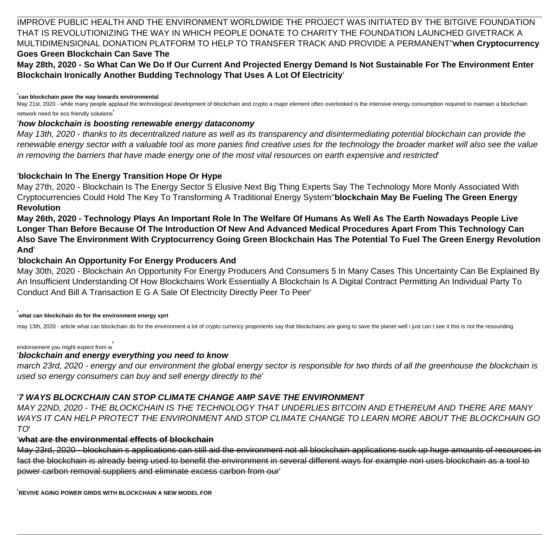IMPROVE PUBLIC HEALTH AND THE ENVIRONMENT WORLDWIDE THE PROJECT WAS INITIATED BY THE BITGIVE FOUNDATION THAT IS REVOLUTIONIZING THE WAY IN WHICH PEOPLE DONATE TO CHARITY THE FOUNDATION LAUNCHED GIVETRACK A MULTIDIMENSIONAL DONATION PLATFORM TO HELP TO TRANSFER TRACK AND PROVIDE A PERMANENT''**when Cryptocurrency Goes Green Blockchain Can Save The**

**May 28th, 2020 - So What Can We Do If Our Current And Projected Energy Demand Is Not Sustainable For The Environment Enter Blockchain Ironically Another Budding Technology That Uses A Lot Of Electricity**'

'**can blockchain pave the way towards environmental**

May 21st, 2020 - while many people applaud the technological development of blockchain and crypto a major element often overlooked is the intensive energy consumption required to maintain a blockchain network need for eco friendly solutions'

# '**how blockchain is boosting renewable energy dataconomy**

May 13th, 2020 - thanks to its decentralized nature as well as its transparency and disintermediating potential blockchain can provide the renewable energy sector with a valuable tool as more panies find creative uses for the technology the broader market will also see the value in removing the barriers that have made energy one of the most vital resources on earth expensive and restricted'

# '**blockchain In The Energy Transition Hope Or Hype**

May 27th, 2020 - Blockchain Is The Energy Sector S Elusive Next Big Thing Experts Say The Technology More Monly Associated With Cryptocurrencies Could Hold The Key To Transforming A Traditional Energy System''**blockchain May Be Fueling The Green Energy Revolution**

**May 26th, 2020 - Technology Plays An Important Role In The Welfare Of Humans As Well As The Earth Nowadays People Live Longer Than Before Because Of The Introduction Of New And Advanced Medical Procedures Apart From This Technology Can Also Save The Environment With Cryptocurrency Going Green Blockchain Has The Potential To Fuel The Green Energy Revolution And**'

# '**blockchain An Opportunity For Energy Producers And**

May 30th, 2020 - Blockchain An Opportunity For Energy Producers And Consumers 5 In Many Cases This Uncertainty Can Be Explained By An Insufficient Understanding Of How Blockchains Work Essentially A Blockchain Is A Digital Contract Permitting An Individual Party To Conduct And Bill A Transaction E G A Sale Of Electricity Directly Peer To Peer'

### '**what can blockchain do for the environment energy xprt**

may 13th, 2020 - article what can blockchain do for the environment a lot of crypto currency proponents say that blockchains are going to save the planet well i just can t see it this is not the resounding

# endorsement you might expect from w'

# '**blockchain and energy everything you need to know**

march 23rd, 2020 - energy and our environment the global energy sector is responsible for two thirds of all the greenhouse the blockchain is used so energy consumers can buy and sell energy directly to the'

# '**7 WAYS BLOCKCHAIN CAN STOP CLIMATE CHANGE AMP SAVE THE ENVIRONMENT**

MAY 22ND, 2020 - THE BLOCKCHAIN IS THE TECHNOLOGY THAT UNDERLIES BITCOIN AND ETHEREUM AND THERE ARE MANY WAYS IT CAN HELP PROTECT THE ENVIRONMENT AND STOP CLIMATE CHANGE TO LEARN MORE ABOUT THE BLOCKCHAIN GO TO'

# '**what are the environmental effects of blockchain**

May 23rd, 2020 - blockchain s applications can still aid the environment not all blockchain applications suck up huge amounts of resources in fact the blockchain is already being used to benefit the environment in several different ways for example nori uses blockchain as a tool to power carbon removal suppliers and eliminate excess carbon from our'

'**REVIVE AGING POWER GRIDS WITH BLOCKCHAIN A NEW MODEL FOR**